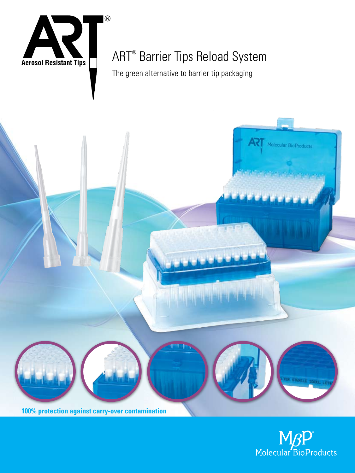

**100% protection against carry-over contamination**

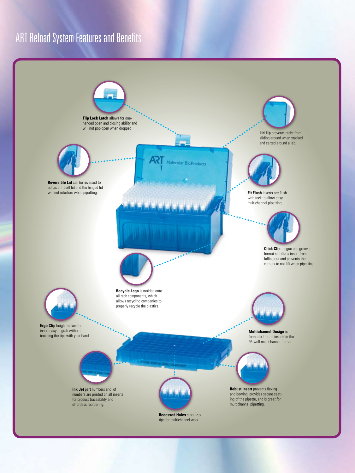## ART Reload System Features and Benefits

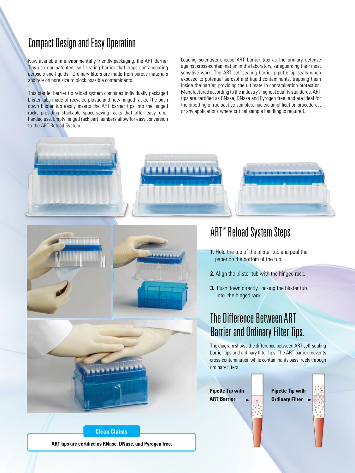### Compact Design and Easy Operation

Now available in environmentally friendly packaging, the ART Barrier Tips use our patented, self-sealing barrier that traps contaminating aerosols and liquids. Ordinary filters are made from porous materials and rely on pore size to block possible contaminants.

This sterile, barrier tip reload system combines individually packaged blister tubs made of recycled plastic and new hinged racks. The push down blister tub easily inserts the ART barrier tips into the hinged racks providing stackable space-saving racks that offer easy, onehanded use. Empty hinged rack part numbers allow for easy conversion to the ART Reload System.

Leading scientists choose ART barrier tips as the primary defense against cross-contamination in the laboratory, safeguarding their most sensitive work. The ART self-sealing barrier pipette tip seals when exposed to potential aerosol and liquid contaminants, trapping them inside the barrier, providing the ultimate in contamination protection. Manufactured according to the industry's highest quality standards, ART tips are certified as RNase, DNase and Pyrogen free, and are ideal for the pipetting of radioactive samples, nucleic amplification procedures, or any applications where critical sample handling is required.



1.1.1.1.1.1.1.



- **1.** Hold the top of the blister tub and peal the paper on the bottom of the tub.
- **2.** Align the blister tub with the hinged rack.
- **3.** Push down directly, locking the blister tub into the hinged rack.

### The Difference Between ART Barrier and Ordinary Filter Tips.

The diagram shows the difference between ART self-sealing barrier tips and ordinary filter tips. The ART barrier prevents cross-contamination while contaminants pass freely through ordinary filters.

**Pipette Tip with ART Barrier**

**Pipette Tip with Ordinary Filter**



**ART tips are certified as RNase, DNase, and Pyrogen free.**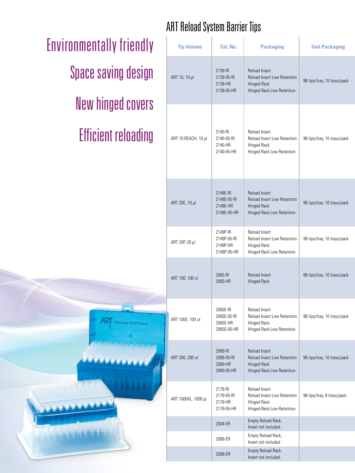# Environmentally friendly Space saving design New hinged covers Efficient reloading

# ART Reload System Barrier Tips

| <b>Tip Volume</b>   | Cat. No.                                           | <b>Packaging</b>                                                                                | <b>Unit Packaging</b>       |
|---------------------|----------------------------------------------------|-------------------------------------------------------------------------------------------------|-----------------------------|
| ART 10, 10 µl       | 2139-RI<br>2139-05-RI<br>2139-HR<br>2139-05-HR     | Reload Insert<br>Reload Insert Low Retention<br><b>Hinged Rack</b><br>Hinged Rack Low Retention | 96 tips/tray, 10 trays/pack |
| ART 10 REACH, 10 µl | 2140-RI<br>2140-05-RI<br>2140-HR<br>2140-05-HR     | Reload Insert<br>Reload Insert Low Retention<br>Hinged Rack<br>Hinged Rack Low Retention        | 96 tips/tray, 10 trays/pack |
| ART 20E, 10 µl      | 2149E-RI<br>2149E-05-RI<br>2149E-HR<br>2149E-05-HR | Reload Insert<br>Reload Insert Low Retention<br>Hinged Rack<br>Hinged Rack Low Retention        | 96 tips/tray, 10 trays/pack |
| ART 20P, 20 µl      | 2149P-RI<br>2149P-05-RI<br>2149P-HR<br>2149P-05-HR | Reload Insert<br>Reload Insert Low Retention<br>Hinged Rack<br>Hinged Rack Low Retention        | 96 tips/tray, 10 trays/pack |
| ART 100, 100 ul     | 2065-RI<br>2065-HR                                 | Reload Insert<br><b>Hinged Rack</b>                                                             | 96 tips/tray, 10 trays/pack |
| ART 100E, 100 ul    | 2065E-RI<br>2065E-05-RI<br>2065E-HR<br>2065E-05-HR | Reload Insert<br>Reload Insert Low Retention<br><b>Hinged Rack</b><br>Hinged Rack Low Retention | 96 tips/tray, 10 trays/pack |
| ART 200, 200 ul     | 2069-RI<br>2069-05-RI<br>2069-HR<br>2069-05-HR     | Reload Insert<br>Reload Insert Low Retention<br><b>Hinged Rack</b><br>Hinged Rack Low Retention | 96 tips/tray, 10 trays/pack |
| ART 1000XL, 1000 µl | 2179-RI<br>2179-05-RI<br>2179-HR<br>2179-05-HR     | Reload Insert<br>Reload Insert Low Retention<br>Hinged Rack<br>Hinged Rack Low Retention        | 96 tips/tray, 8 trays/pack  |
|                     | 2004-ER                                            | Empty Reload Rack,<br>Insert not included.                                                      |                             |
|                     | 2006-ER                                            | Empty Reload Rack,<br>Insert not included.                                                      |                             |
|                     | 2008-ER                                            | Empty Reload Rack,<br>Insert not included.                                                      |                             |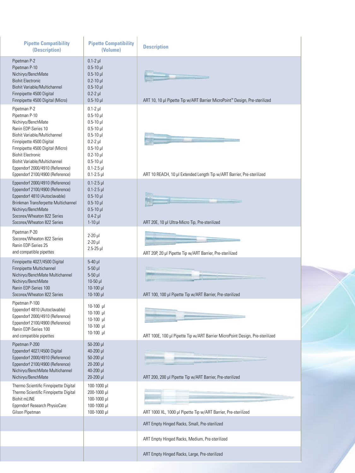| <b>Pipette Compatibility</b><br>(Description)                                                                                                                                                                                                                                                                | <b>Pipette Compatibility</b><br>(Volume)                                                                                                                                             | <b>Description</b>                                                           |  |
|--------------------------------------------------------------------------------------------------------------------------------------------------------------------------------------------------------------------------------------------------------------------------------------------------------------|--------------------------------------------------------------------------------------------------------------------------------------------------------------------------------------|------------------------------------------------------------------------------|--|
| Pipetman P-2<br>Pipetman P-10<br>Nichiryo/BenchMate<br><b>Biohit Electronic</b><br><b>Biohit Variable/Multichannel</b><br>Finnpipette 4500 Digital<br>Finnpipette 4500 Digital (Micro)                                                                                                                       | $0.1-2$ $\mu$<br>$0.5 - 10$ µl<br>$0.5 - 10$ µl<br>$0.2 - 10$ µl<br>$0.5 - 10$ µl<br>$0.2 - 2$ $\mu$<br>$0.5 - 10$ µl                                                                | ART 10, 10 µl Pipette Tip w/ART Barrier MicroPoint™ Design, Pre-sterilized   |  |
| Pipetman P-2<br>Pipetman P-10<br>Nichiryo/BenchMate<br>Ranin EDP-Series 10<br>Biohit Variable/Multichannel<br>Finnpipette 4500 Digital<br>Finnpipette 4500 Digital (Micro)<br><b>Biohit Electronic</b><br>Biohit Variable/Multichannel<br>Eppendorf 2000/4910 (Reference)<br>Eppendorf 2100/4900 (Reference) | $0.1-2$ $\mu$<br>$0.5 - 10$ µ<br>$0.5 - 10$ µl<br>$0.5 - 10$ µ<br>$0.5 - 10$ µ<br>$0.2-2$ µl<br>$0.5 - 10$ µ<br>$0.2 - 10$ $\mu$<br>$0.5 - 10$ µl<br>$0.1 - 2.5$ µ<br>$0.1 - 2.5$ µl | ART 10 REACH, 10 µl Extended Length Tip w/ART Barrier, Pre-sterilized        |  |
| Eppendorf 2000/4910 (Reference)<br>Eppendorf 2100/4900 (Reference)<br>Eppendorf 4810 (Autoclavable)<br>Brinkman Transferpette Multichannel<br>Nichiryo/BenchMate<br>Socorex/Wheaton 822 Series<br>Socorex/Wheaton 822 Series                                                                                 | $0.1 - 2.5$ µl<br>$0.1 - 2.5$ µl<br>$0.5 - 10$ µl<br>$0.5 - 10$ µl<br>$0.5 - 10$ $\mu$<br>$0.4-2$ $\mu$<br>$1-10$ µ                                                                  | ART 20E, 10 µl Ultra-Micro Tip, Pre-sterilized                               |  |
| Pipetman P-20<br>Socorex/Wheaton 822 Series<br>Ranin EDP-Series 25<br>and compatible pipettes                                                                                                                                                                                                                | $2-20$ µ<br>$2-20$ µ<br>$2.5 - 25$ µl                                                                                                                                                | ART 20P, 20 µl Pipette Tip w/ART Barrier, Pre-sterilized                     |  |
| Finnpipette 4027/4500 Digital<br>Finnpipette Multichannel<br>Nichiryo/BenchMate Multichannel<br>Nichiryo/BenchMate<br>Ranin EDP-Series 100<br>Socorex/Wheaton 822 Series                                                                                                                                     | $5-40$ µl<br>$5-50$ µ<br>$5-50$ $\mu$<br>$10-50$ µl<br>10-100 µl<br>$10-100$ µl                                                                                                      | ART 100, 100 µl Pipette Tip w/ART Barrier, Pre-sterilized                    |  |
| Pipetman P-100<br>Eppendorf 4810 (Autoclavable)<br>Eppendorf 2000/4910 (Reference)<br>Eppendorf 2100/4900 (Reference)<br>Ranin EDP-Series 100<br>and compatible pipettes                                                                                                                                     | $10-100$ µ<br>$10-100$ µl<br>10-100 µl<br>10-100 µl<br>10-100 µl                                                                                                                     | ART 100E, 100 µl Pipette Tip w/ART Barrier MicroPoint Design, Pre-sterilized |  |
| Pipetman P-200<br>Eppendorf 4027/4500 Digital<br>Eppendorf 2000/4910 (Reference)<br>Eppendorf 2100/4900 (Reference)<br>Nichiryo/BenchMate Multichannel<br>Nichiryo/BenchMate                                                                                                                                 | 50-200 µl<br>40-200 µl<br>$50 - 200$ $\mu$<br>20-200 µl<br>40-200 µl<br>20-200 µl                                                                                                    | ART 200, 200 µl Pipette Tip w/ART Barrier, Pre-sterilized                    |  |
| Thermo Scientific Finnpipette Digital<br>Thermo Scientific Finnpipette Digital<br><b>Biohit mLINE</b><br>Epprndorf Research PhysioCare<br>Gilson Pipetman                                                                                                                                                    | 100-1000 µl<br>200-1000 µl<br>100-1000 µl<br>100-1000 µl<br>100-1000 µl                                                                                                              | ART 1000 XL, 1000 µl Pipette Tip w/ART Barrier, Pre-sterilized               |  |
|                                                                                                                                                                                                                                                                                                              |                                                                                                                                                                                      | ART Empty Hinged Racks, Small, Pre-sterilized                                |  |
|                                                                                                                                                                                                                                                                                                              |                                                                                                                                                                                      | ART Empty Hinged Racks, Medium, Pre-sterilized                               |  |
|                                                                                                                                                                                                                                                                                                              |                                                                                                                                                                                      | ART Empty Hinged Racks, Large, Pre-sterilized                                |  |